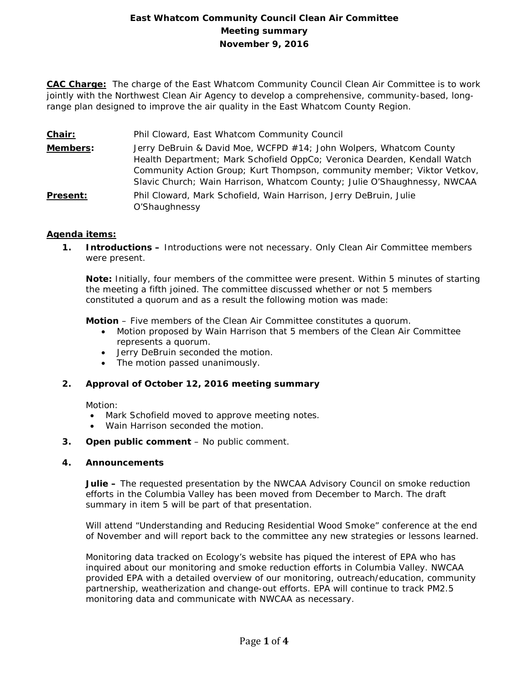# **East Whatcom Community Council Clean Air Committee Meeting summary November 9, 2016**

**CAC Charge:** The charge of the East Whatcom Community Council Clean Air Committee is to work jointly with the Northwest Clean Air Agency to develop a comprehensive, community-based, longrange plan designed to improve the air quality in the East Whatcom County Region.

- **Chair:** Phil Cloward, East Whatcom Community Council
- **Members:** Jerry DeBruin & David Moe, WCFPD #14; John Wolpers, Whatcom County Health Department; Mark Schofield OppCo; Veronica Dearden, Kendall Watch Community Action Group; Kurt Thompson, community member; Viktor Vetkov, Slavic Church; Wain Harrison, Whatcom County; Julie O'Shaughnessy, NWCAA
- **Present:** Phil Cloward, Mark Schofield, Wain Harrison, Jerry DeBruin, Julie O'Shaughnessy

## **Agenda items:**

**1. Introductions –** Introductions were not necessary. Only Clean Air Committee members were present.

**Note:** Initially, four members of the committee were present. Within 5 minutes of starting the meeting a fifth joined. The committee discussed whether or not 5 members constituted a quorum and as a result the following motion was made:

**Motion** – Five members of the Clean Air Committee constitutes a quorum.

- Motion proposed by Wain Harrison that 5 members of the Clean Air Committee represents a quorum.
- Jerry DeBruin seconded the motion.
- The motion passed unanimously.

### **2. Approval of October 12, 2016 meeting summary**

Motion:

- Mark Schofield moved to approve meeting notes.
- Wain Harrison seconded the motion.
- **3. Open public comment**  No public comment.

### **4. Announcements**

**Julie –** The requested presentation by the NWCAA Advisory Council on smoke reduction efforts in the Columbia Valley has been moved from December to March. The draft summary in item 5 will be part of that presentation.

Will attend "Understanding and Reducing Residential Wood Smoke" conference at the end of November and will report back to the committee any new strategies or lessons learned.

Monitoring data tracked on Ecology's website has piqued the interest of EPA who has inquired about our monitoring and smoke reduction efforts in Columbia Valley. NWCAA provided EPA with a detailed overview of our monitoring, outreach/education, community partnership, weatherization and change-out efforts. EPA will continue to track PM2.5 monitoring data and communicate with NWCAA as necessary.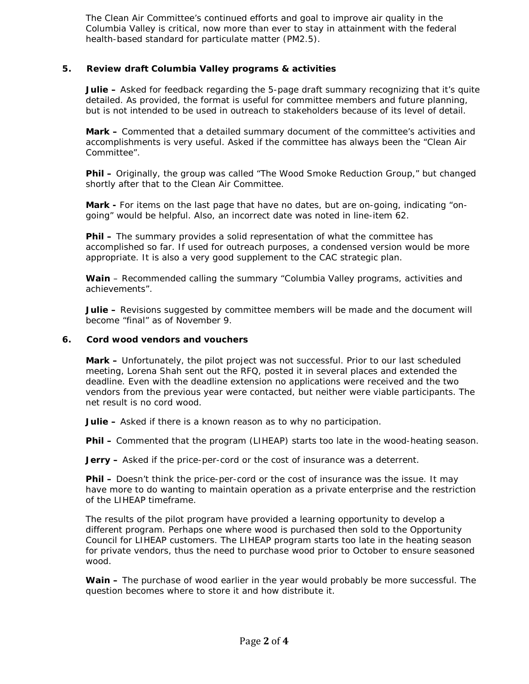The Clean Air Committee's continued efforts and goal to improve air quality in the Columbia Valley is critical, now more than ever to stay in attainment with the federal health-based standard for particulate matter (PM2.5).

## **5. Review draft Columbia Valley programs & activities**

**Julie –** Asked for feedback regarding the 5-page draft summary recognizing that it's quite detailed. As provided, the format is useful for committee members and future planning, but is not intended to be used in outreach to stakeholders because of its level of detail.

**Mark –** Commented that a detailed summary document of the committee's activities and accomplishments is very useful. Asked if the committee has always been the "Clean Air Committee".

**Phil –** Originally, the group was called "The Wood Smoke Reduction Group," but changed shortly after that to the Clean Air Committee.

**Mark -** For items on the last page that have no dates, but are on-going, indicating "ongoing" would be helpful. Also, an incorrect date was noted in line-item 62.

**Phil –** The summary provides a solid representation of what the committee has accomplished so far. If used for outreach purposes, a condensed version would be more appropriate. It is also a very good supplement to the CAC strategic plan.

**Wain** – Recommended calling the summary "Columbia Valley programs, activities and achievements".

**Julie –** Revisions suggested by committee members will be made and the document will become "final" as of November 9.

### **6. Cord wood vendors and vouchers**

**Mark –** Unfortunately, the pilot project was not successful. Prior to our last scheduled meeting, Lorena Shah sent out the RFQ, posted it in several places and extended the deadline. Even with the deadline extension no applications were received and the two vendors from the previous year were contacted, but neither were viable participants. The net result is no cord wood.

**Julie –** Asked if there is a known reason as to why no participation.

**Phil –** Commented that the program (LIHEAP) starts too late in the wood-heating season.

**Jerry –** Asked if the price-per-cord or the cost of insurance was a deterrent.

**Phil –** Doesn't think the price-per-cord or the cost of insurance was the issue. It may have more to do wanting to maintain operation as a private enterprise and the restriction of the LIHEAP timeframe.

The results of the pilot program have provided a learning opportunity to develop a different program. Perhaps one where wood is purchased then sold to the Opportunity Council for LIHEAP customers. The LIHEAP program starts too late in the heating season for private vendors, thus the need to purchase wood prior to October to ensure seasoned wood.

**Wain –** The purchase of wood earlier in the year would probably be more successful. The question becomes where to store it and how distribute it.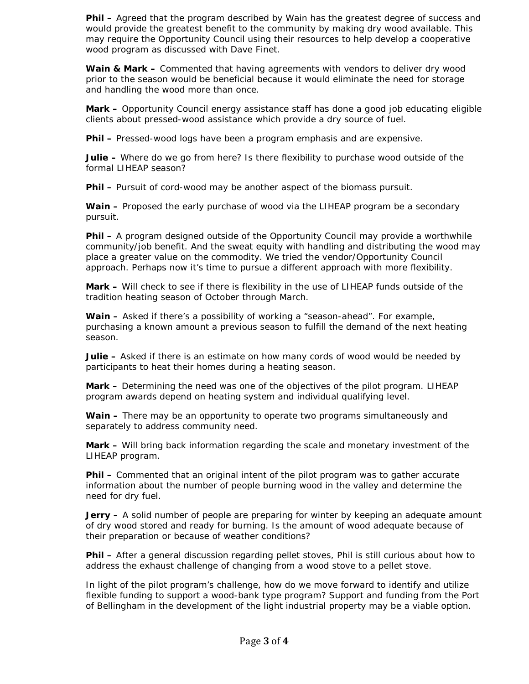**Phil –** Agreed that the program described by Wain has the greatest degree of success and would provide the greatest benefit to the community by making dry wood available. This may require the Opportunity Council using their resources to help develop a cooperative wood program as discussed with Dave Finet.

**Wain & Mark –** Commented that having agreements with vendors to deliver dry wood prior to the season would be beneficial because it would eliminate the need for storage and handling the wood more than once.

**Mark –** Opportunity Council energy assistance staff has done a good job educating eligible clients about pressed-wood assistance which provide a dry source of fuel.

**Phil –** Pressed-wood logs have been a program emphasis and are expensive.

**Julie –** Where do we go from here? Is there flexibility to purchase wood outside of the formal LIHEAP season?

**Phil –** Pursuit of cord-wood may be another aspect of the biomass pursuit.

**Wain –** Proposed the early purchase of wood via the LIHEAP program be a secondary pursuit.

**Phil –** A program designed outside of the Opportunity Council may provide a worthwhile community/job benefit. And the sweat equity with handling and distributing the wood may place a greater value on the commodity. We tried the vendor/Opportunity Council approach. Perhaps now it's time to pursue a different approach with more flexibility.

**Mark –** Will check to see if there is flexibility in the use of LIHEAP funds outside of the tradition heating season of October through March.

**Wain –** Asked if there's a possibility of working a "season-ahead". For example, purchasing a known amount a previous season to fulfill the demand of the next heating season.

**Julie –** Asked if there is an estimate on how many cords of wood would be needed by participants to heat their homes during a heating season.

**Mark –** Determining the need was one of the objectives of the pilot program. LIHEAP program awards depend on heating system and individual qualifying level.

**Wain –** There may be an opportunity to operate two programs simultaneously and separately to address community need.

**Mark –** Will bring back information regarding the scale and monetary investment of the LIHEAP program.

**Phil –** Commented that an original intent of the pilot program was to gather accurate information about the number of people burning wood in the valley and determine the need for dry fuel.

**Jerry –** A solid number of people are preparing for winter by keeping an adequate amount of dry wood stored and ready for burning. Is the amount of wood adequate because of their preparation or because of weather conditions?

**Phil –** After a general discussion regarding pellet stoves, Phil is still curious about how to address the exhaust challenge of changing from a wood stove to a pellet stove.

In light of the pilot program's challenge, how do we move forward to identify and utilize flexible funding to support a wood-bank type program? Support and funding from the Port of Bellingham in the development of the light industrial property may be a viable option.